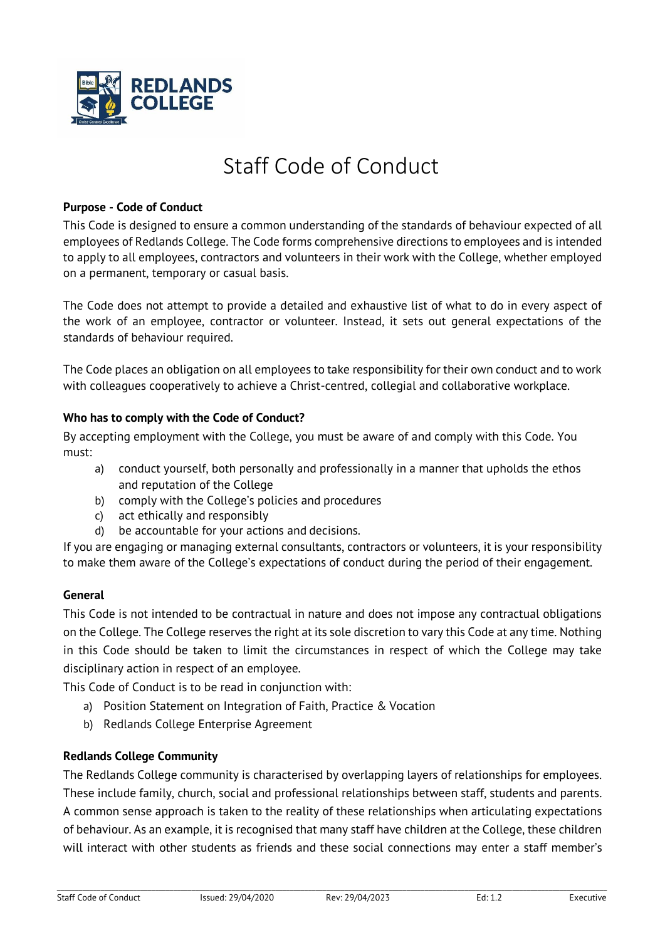

# Staff Code of Conduct

#### **Purpose - Code of Conduct**

This Code is designed to ensure a common understanding of the standards of behaviour expected of all employees of Redlands College. The Code forms comprehensive directions to employees and is intended to apply to all employees, contractors and volunteers in their work with the College, whether employed on a permanent, temporary or casual basis.

The Code does not attempt to provide a detailed and exhaustive list of what to do in every aspect of the work of an employee, contractor or volunteer. Instead, it sets out general expectations of the standards of behaviour required.

The Code places an obligation on all employees to take responsibility for their own conduct and to work with colleagues cooperatively to achieve a Christ-centred, collegial and collaborative workplace.

#### **Who has to comply with the Code of Conduct?**

By accepting employment with the College, you must be aware of and comply with this Code. You must:

- a) conduct yourself, both personally and professionally in a manner that upholds the ethos and reputation of the College
- b) comply with the College's policies and procedures
- c) act ethically and responsibly
- d) be accountable for your actions and decisions.

If you are engaging or managing external consultants, contractors or volunteers, it is your responsibility to make them aware of the College's expectations of conduct during the period of their engagement.

#### **General**

This Code is not intended to be contractual in nature and does not impose any contractual obligations on the College. The College reserves the right at its sole discretion to vary this Code at any time. Nothing in this Code should be taken to limit the circumstances in respect of which the College may take disciplinary action in respect of an employee.

This Code of Conduct is to be read in conjunction with:

- a) Position Statement on Integration of Faith, Practice & Vocation
- b) Redlands College Enterprise Agreement

## **Redlands College Community**

The Redlands College community is characterised by overlapping layers of relationships for employees. These include family, church, social and professional relationships between staff, students and parents. A common sense approach is taken to the reality of these relationships when articulating expectations of behaviour. As an example, it is recognised that many staff have children at the College, these children will interact with other students as friends and these social connections may enter a staff member's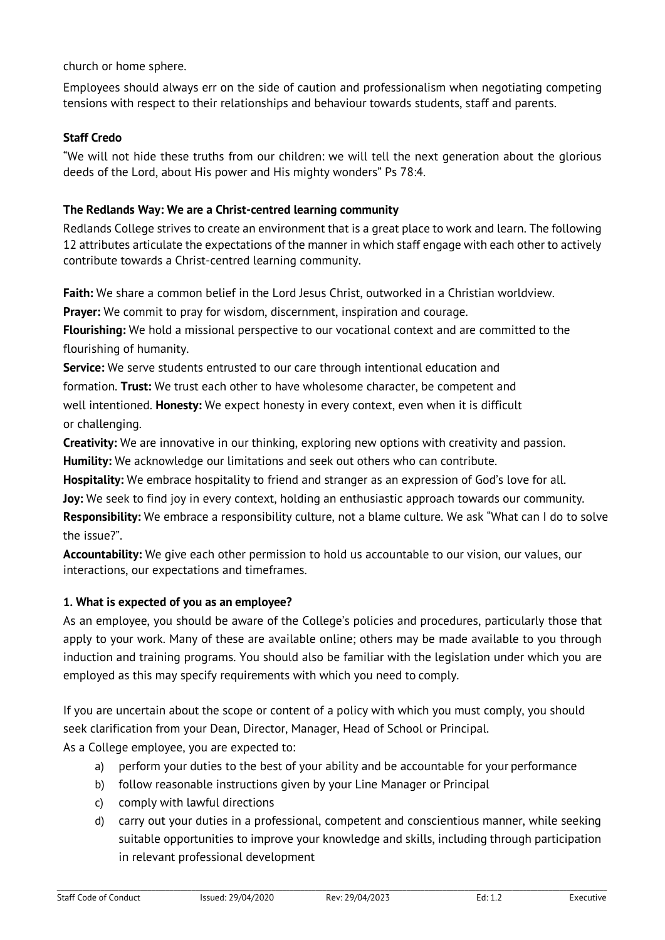church or home sphere.

Employees should always err on the side of caution and professionalism when negotiating competing tensions with respect to their relationships and behaviour towards students, staff and parents.

## **Staff Credo**

"We will not hide these truths from our children: we will tell the next generation about the glorious deeds of the Lord, about His power and His mighty wonders" Ps 78:4.

#### **The Redlands Way: We are a Christ-centred learning community**

Redlands College strives to create an environment that is a great place to work and learn. The following 12 attributes articulate the expectations of the manner in which staff engage with each other to actively contribute towards a Christ-centred learning community.

**Faith:** We share a common belief in the Lord Jesus Christ, outworked in a Christian worldview.

**Prayer:** We commit to pray for wisdom, discernment, inspiration and courage.

**Flourishing:** We hold a missional perspective to our vocational context and are committed to the flourishing of humanity.

**Service:** We serve students entrusted to our care through intentional education and formation. **Trust:** We trust each other to have wholesome character, be competent and well intentioned. **Honesty:** We expect honesty in every context, even when it is difficult or challenging.

**Creativity:** We are innovative in our thinking, exploring new options with creativity and passion.

**Humility:** We acknowledge our limitations and seek out others who can contribute.

**Hospitality:** We embrace hospitality to friend and stranger as an expression of God's love for all.

**Joy:** We seek to find joy in every context, holding an enthusiastic approach towards our community.

**Responsibility:** We embrace a responsibility culture, not a blame culture. We ask "What can I do to solve the issue?".

**Accountability:** We give each other permission to hold us accountable to our vision, our values, our interactions, our expectations and timeframes.

#### **1. What is expected of you as an employee?**

As an employee, you should be aware of the College's policies and procedures, particularly those that apply to your work. Many of these are available online; others may be made available to you through induction and training programs. You should also be familiar with the legislation under which you are employed as this may specify requirements with which you need to comply.

If you are uncertain about the scope or content of a policy with which you must comply, you should seek clarification from your Dean, Director, Manager, Head of School or Principal.

As a College employee, you are expected to:

- a) perform your duties to the best of your ability and be accountable for your performance
- b) follow reasonable instructions given by your Line Manager or Principal
- c) comply with lawful directions
- d) carry out your duties in a professional, competent and conscientious manner, while seeking suitable opportunities to improve your knowledge and skills, including through participation in relevant professional development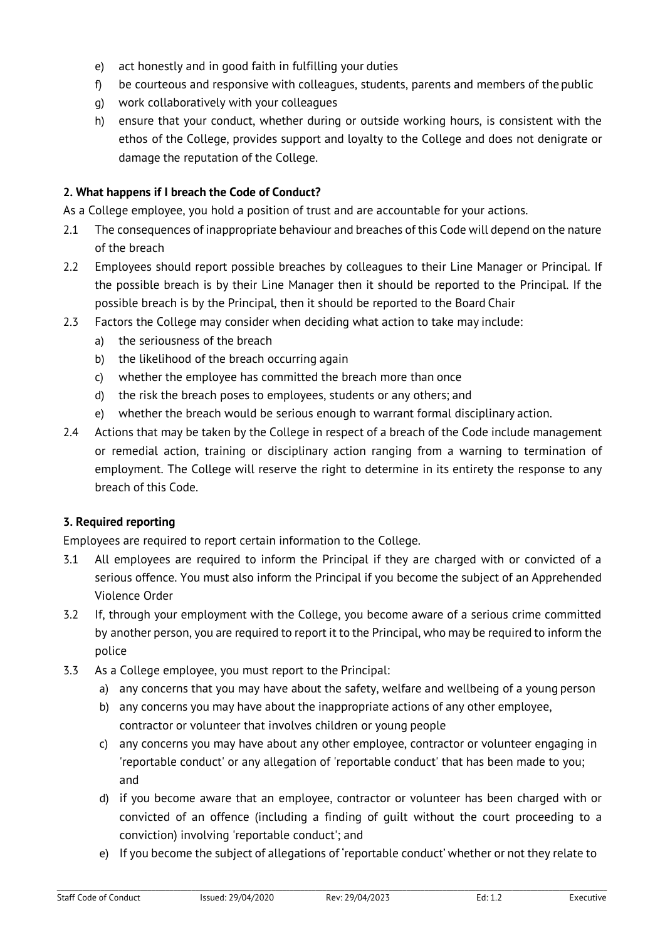- e) act honestly and in good faith in fulfilling your duties
- f) be courteous and responsive with colleagues, students, parents and members of the public
- g) work collaboratively with your colleagues
- h) ensure that your conduct, whether during or outside working hours, is consistent with the ethos of the College, provides support and loyalty to the College and does not denigrate or damage the reputation of the College.

## **2. What happens if I breach the Code of Conduct?**

As a College employee, you hold a position of trust and are accountable for your actions.

- 2.1 The consequences of inappropriate behaviour and breaches of this Code will depend on the nature of the breach
- 2.2 Employees should report possible breaches by colleagues to their Line Manager or Principal. If the possible breach is by their Line Manager then it should be reported to the Principal. If the possible breach is by the Principal, then it should be reported to the Board Chair
- 2.3 Factors the College may consider when deciding what action to take may include:
	- a) the seriousness of the breach
	- b) the likelihood of the breach occurring again
	- c) whether the employee has committed the breach more than once
	- d) the risk the breach poses to employees, students or any others; and
	- e) whether the breach would be serious enough to warrant formal disciplinary action.
- 2.4 Actions that may be taken by the College in respect of a breach of the Code include management or remedial action, training or disciplinary action ranging from a warning to termination of employment. The College will reserve the right to determine in its entirety the response to any breach of this Code.

## **3. Required reporting**

Employees are required to report certain information to the College.

- 3.1 All employees are required to inform the Principal if they are charged with or convicted of a serious offence. You must also inform the Principal if you become the subject of an Apprehended Violence Order
- 3.2 If, through your employment with the College, you become aware of a serious crime committed by another person, you are required to report it to the Principal, who may be required to inform the police
- 3.3 As a College employee, you must report to the Principal:
	- a) any concerns that you may have about the safety, welfare and wellbeing of a young person
	- b) any concerns you may have about the inappropriate actions of any other employee, contractor or volunteer that involves children or young people
	- c) any concerns you may have about any other employee, contractor or volunteer engaging in 'reportable conduct' or any allegation of 'reportable conduct' that has been made to you; and
	- d) if you become aware that an employee, contractor or volunteer has been charged with or convicted of an offence (including a finding of guilt without the court proceeding to a conviction) involving 'reportable conduct'; and
	- e) If you become the subject of allegations of 'reportable conduct' whether or not they relate to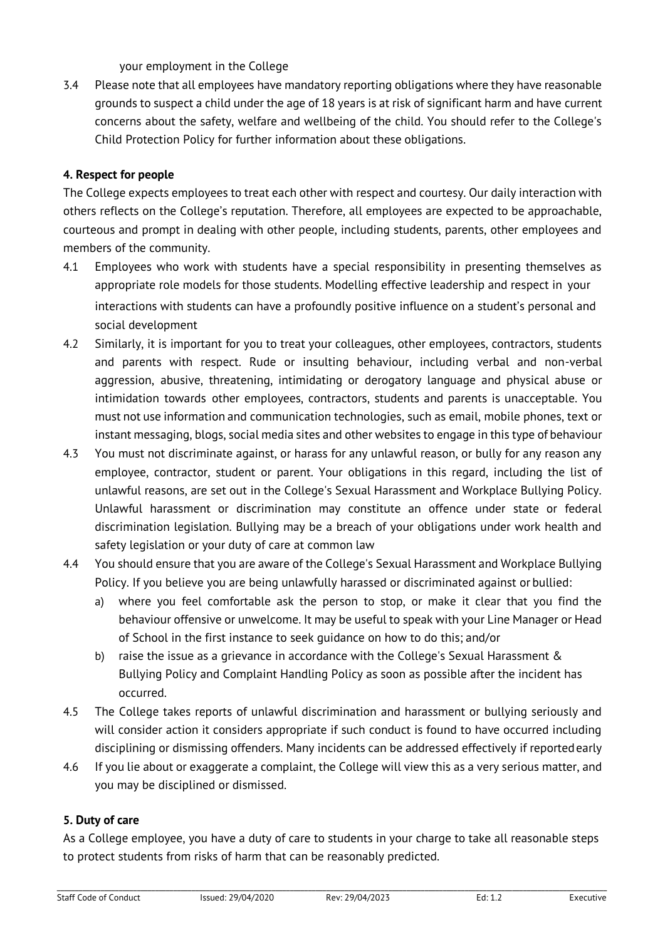your employment in the College

3.4 Please note that all employees have mandatory reporting obligations where they have reasonable grounds to suspect a child under the age of 18 years is at risk of significant harm and have current concerns about the safety, welfare and wellbeing of the child. You should refer to the College's Child Protection Policy for further information about these obligations.

# **4. Respect for people**

The College expects employees to treat each other with respect and courtesy. Our daily interaction with others reflects on the College's reputation. Therefore, all employees are expected to be approachable, courteous and prompt in dealing with other people, including students, parents, other employees and members of the community.

- 4.1 Employees who work with students have a special responsibility in presenting themselves as appropriate role models for those students. Modelling effective leadership and respect in your interactions with students can have a profoundly positive influence on a student's personal and social development
- 4.2 Similarly, it is important for you to treat your colleagues, other employees, contractors, students and parents with respect. Rude or insulting behaviour, including verbal and non-verbal aggression, abusive, threatening, intimidating or derogatory language and physical abuse or intimidation towards other employees, contractors, students and parents is unacceptable. You must not use information and communication technologies, such as email, mobile phones, text or instant messaging, blogs, social media sites and other websites to engage in this type of behaviour
- 4.3 You must not discriminate against, or harass for any unlawful reason, or bully for any reason any employee, contractor, student or parent. Your obligations in this regard, including the list of unlawful reasons, are set out in the College's Sexual Harassment and Workplace Bullying Policy. Unlawful harassment or discrimination may constitute an offence under state or federal discrimination legislation. Bullying may be a breach of your obligations under work health and safety legislation or your duty of care at common law
- 4.4 You should ensure that you are aware of the College's Sexual Harassment and Workplace Bullying Policy. If you believe you are being unlawfully harassed or discriminated against or bullied:
	- a) where you feel comfortable ask the person to stop, or make it clear that you find the behaviour offensive or unwelcome. It may be useful to speak with your Line Manager or Head of School in the first instance to seek guidance on how to do this; and/or
	- b) raise the issue as a grievance in accordance with the College's Sexual Harassment & Bullying Policy and Complaint Handling Policy as soon as possible after the incident has occurred.
- 4.5 The College takes reports of unlawful discrimination and harassment or bullying seriously and will consider action it considers appropriate if such conduct is found to have occurred including disciplining or dismissing offenders. Many incidents can be addressed effectively if reportedearly
- 4.6 If you lie about or exaggerate a complaint, the College will view this as a very serious matter, and you may be disciplined or dismissed.

## **5. Duty of care**

As a College employee, you have a duty of care to students in your charge to take all reasonable steps to protect students from risks of harm that can be reasonably predicted.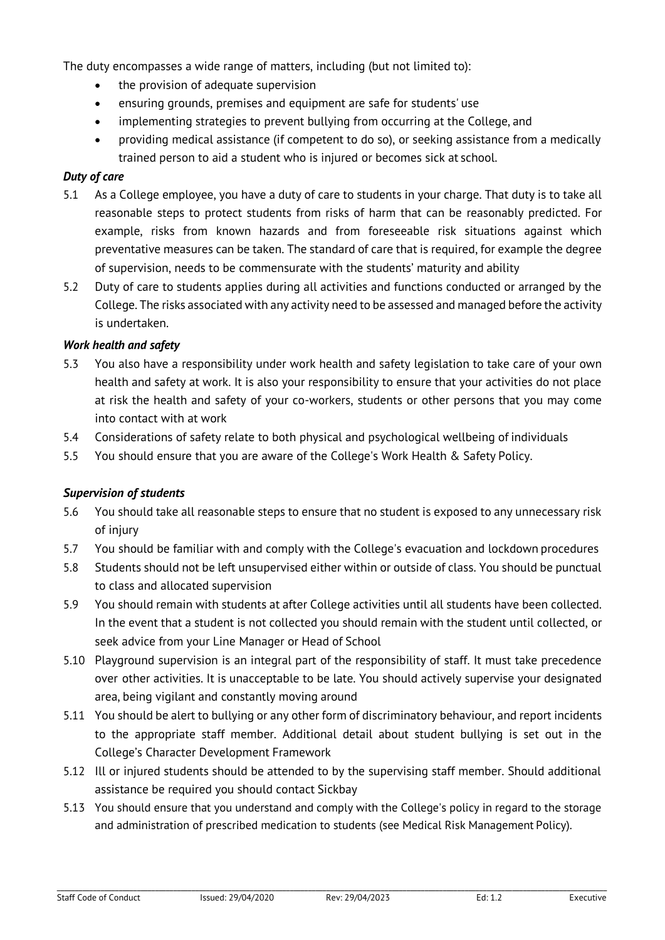The duty encompasses a wide range of matters, including (but not limited to):

- the provision of adequate supervision
- ensuring grounds, premises and equipment are safe for students' use
- implementing strategies to prevent bullying from occurring at the College, and
- providing medical assistance (if competent to do so), or seeking assistance from a medically trained person to aid a student who is injured or becomes sick at school.

#### *Duty of care*

- 5.1 As a College employee, you have a duty of care to students in your charge. That duty is to take all reasonable steps to protect students from risks of harm that can be reasonably predicted. For example, risks from known hazards and from foreseeable risk situations against which preventative measures can be taken. The standard of care that is required, for example the degree of supervision, needs to be commensurate with the students' maturity and ability
- 5.2 Duty of care to students applies during all activities and functions conducted or arranged by the College. The risks associated with any activity need to be assessed and managed before the activity is undertaken.

#### *Work health and safety*

- 5.3 You also have a responsibility under work health and safety legislation to take care of your own health and safety at work. It is also your responsibility to ensure that your activities do not place at risk the health and safety of your co-workers, students or other persons that you may come into contact with at work
- 5.4 Considerations of safety relate to both physical and psychological wellbeing of individuals
- 5.5 You should ensure that you are aware of the College's Work Health & Safety Policy.

#### *Supervision of students*

- 5.6 You should take all reasonable steps to ensure that no student is exposed to any unnecessary risk of injury
- 5.7 You should be familiar with and comply with the College's evacuation and lockdown procedures
- 5.8 Students should not be left unsupervised either within or outside of class. You should be punctual to class and allocated supervision
- 5.9 You should remain with students at after College activities until all students have been collected. In the event that a student is not collected you should remain with the student until collected, or seek advice from your Line Manager or Head of School
- 5.10 Playground supervision is an integral part of the responsibility of staff. It must take precedence over other activities. It is unacceptable to be late. You should actively supervise your designated area, being vigilant and constantly moving around
- 5.11 You should be alert to bullying or any other form of discriminatory behaviour, and report incidents to the appropriate staff member. Additional detail about student bullying is set out in the College's Character Development Framework
- 5.12 Ill or injured students should be attended to by the supervising staff member. Should additional assistance be required you should contact Sickbay
- 5.13 You should ensure that you understand and comply with the College's policy in regard to the storage and administration of prescribed medication to students (see Medical Risk Management Policy).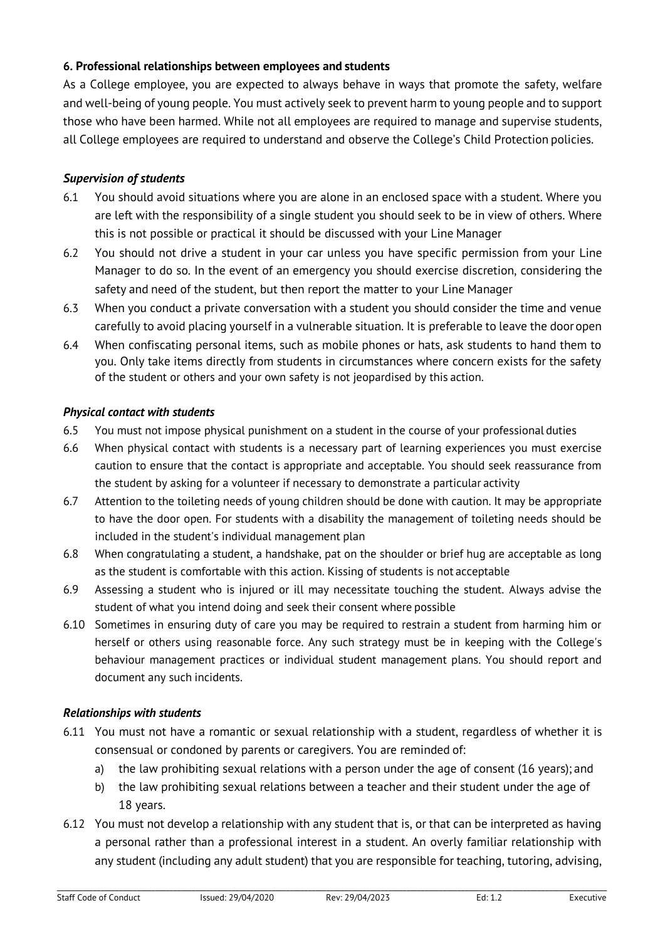# **6. Professional relationships between employees and students**

As a College employee, you are expected to always behave in ways that promote the safety, welfare and well-being of young people. You must actively seek to prevent harm to young people and to support those who have been harmed. While not all employees are required to manage and supervise students, all College employees are required to understand and observe the College's Child Protection policies.

# *Supervision of students*

- 6.1 You should avoid situations where you are alone in an enclosed space with a student. Where you are left with the responsibility of a single student you should seek to be in view of others. Where this is not possible or practical it should be discussed with your Line Manager
- 6.2 You should not drive a student in your car unless you have specific permission from your Line Manager to do so. In the event of an emergency you should exercise discretion, considering the safety and need of the student, but then report the matter to your Line Manager
- 6.3 When you conduct a private conversation with a student you should consider the time and venue carefully to avoid placing yourself in a vulnerable situation. It is preferable to leave the dooropen
- 6.4 When confiscating personal items, such as mobile phones or hats, ask students to hand them to you. Only take items directly from students in circumstances where concern exists for the safety of the student or others and your own safety is not jeopardised by this action.

## *Physical contact with students*

- 6.5 You must not impose physical punishment on a student in the course of your professional duties
- 6.6 When physical contact with students is a necessary part of learning experiences you must exercise caution to ensure that the contact is appropriate and acceptable. You should seek reassurance from the student by asking for a volunteer if necessary to demonstrate a particular activity
- 6.7 Attention to the toileting needs of young children should be done with caution. It may be appropriate to have the door open. For students with a disability the management of toileting needs should be included in the student's individual management plan
- 6.8 When congratulating a student, a handshake, pat on the shoulder or brief hug are acceptable as long as the student is comfortable with this action. Kissing of students is not acceptable
- 6.9 Assessing a student who is injured or ill may necessitate touching the student. Always advise the student of what you intend doing and seek their consent where possible
- 6.10 Sometimes in ensuring duty of care you may be required to restrain a student from harming him or herself or others using reasonable force. Any such strategy must be in keeping with the College's behaviour management practices or individual student management plans. You should report and document any such incidents.

## *Relationships with students*

- 6.11 You must not have a romantic or sexual relationship with a student, regardless of whether it is consensual or condoned by parents or caregivers. You are reminded of:
	- a) the law prohibiting sexual relations with a person under the age of consent (16 years); and
	- b) the law prohibiting sexual relations between a teacher and their student under the age of 18 years.
- 6.12 You must not develop a relationship with any student that is, or that can be interpreted as having a personal rather than a professional interest in a student. An overly familiar relationship with any student (including any adult student) that you are responsible for teaching, tutoring, advising,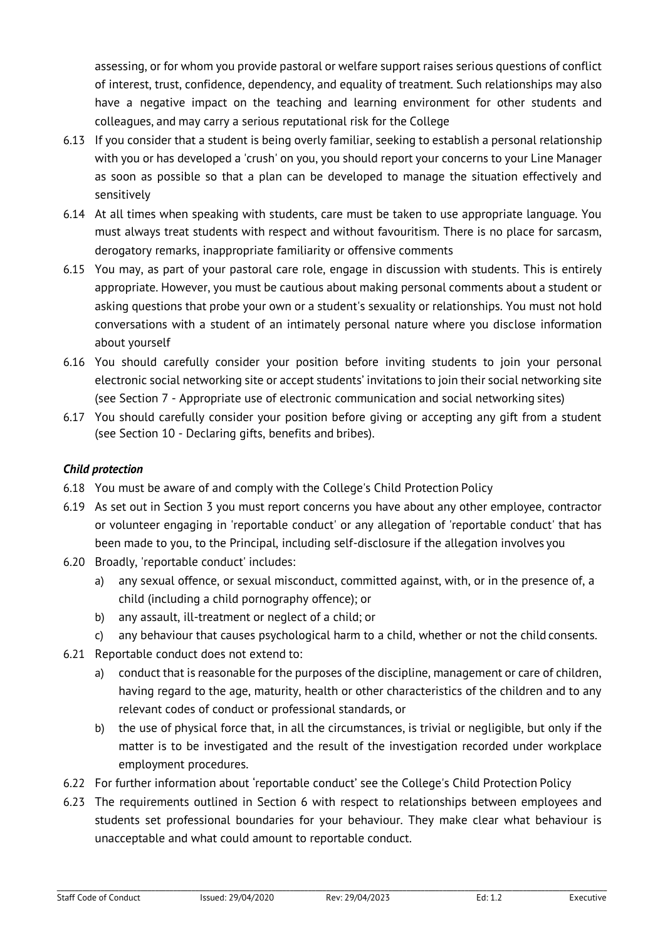assessing, or for whom you provide pastoral or welfare support raises serious questions of conflict of interest, trust, confidence, dependency, and equality of treatment. Such relationships may also have a negative impact on the teaching and learning environment for other students and colleagues, and may carry a serious reputational risk for the College

- 6.13 If you consider that a student is being overly familiar, seeking to establish a personal relationship with you or has developed a 'crush' on you, you should report your concerns to your Line Manager as soon as possible so that a plan can be developed to manage the situation effectively and sensitively
- 6.14 At all times when speaking with students, care must be taken to use appropriate language. You must always treat students with respect and without favouritism. There is no place for sarcasm, derogatory remarks, inappropriate familiarity or offensive comments
- 6.15 You may, as part of your pastoral care role, engage in discussion with students. This is entirely appropriate. However, you must be cautious about making personal comments about a student or asking questions that probe your own or a student's sexuality or relationships. You must not hold conversations with a student of an intimately personal nature where you disclose information about yourself
- 6.16 You should carefully consider your position before inviting students to join your personal electronic social networking site or accept students' invitations to join their social networking site (see Section 7 - Appropriate use of electronic communication and social networking sites)
- 6.17 You should carefully consider your position before giving or accepting any gift from a student (see Section 10 - Declaring gifts, benefits and bribes).

# *Child protection*

- 6.18 You must be aware of and comply with the College's Child Protection Policy
- 6.19 As set out in Section 3 you must report concerns you have about any other employee, contractor or volunteer engaging in 'reportable conduct' or any allegation of 'reportable conduct' that has been made to you, to the Principal, including self-disclosure if the allegation involves you
- 6.20 Broadly, 'reportable conduct' includes:
	- a) any sexual offence, or sexual misconduct, committed against, with, or in the presence of, a child (including a child pornography offence); or
	- b) any assault, ill-treatment or neglect of a child; or
	- c) any behaviour that causes psychological harm to a child, whether or not the child consents.
- 6.21 Reportable conduct does not extend to:
	- a) conduct that is reasonable for the purposes of the discipline, management or care of children, having regard to the age, maturity, health or other characteristics of the children and to any relevant codes of conduct or professional standards, or
	- b) the use of physical force that, in all the circumstances, is trivial or negligible, but only if the matter is to be investigated and the result of the investigation recorded under workplace employment procedures.
- 6.22 For further information about 'reportable conduct' see the College's Child Protection Policy
- 6.23 The requirements outlined in Section 6 with respect to relationships between employees and students set professional boundaries for your behaviour. They make clear what behaviour is unacceptable and what could amount to reportable conduct.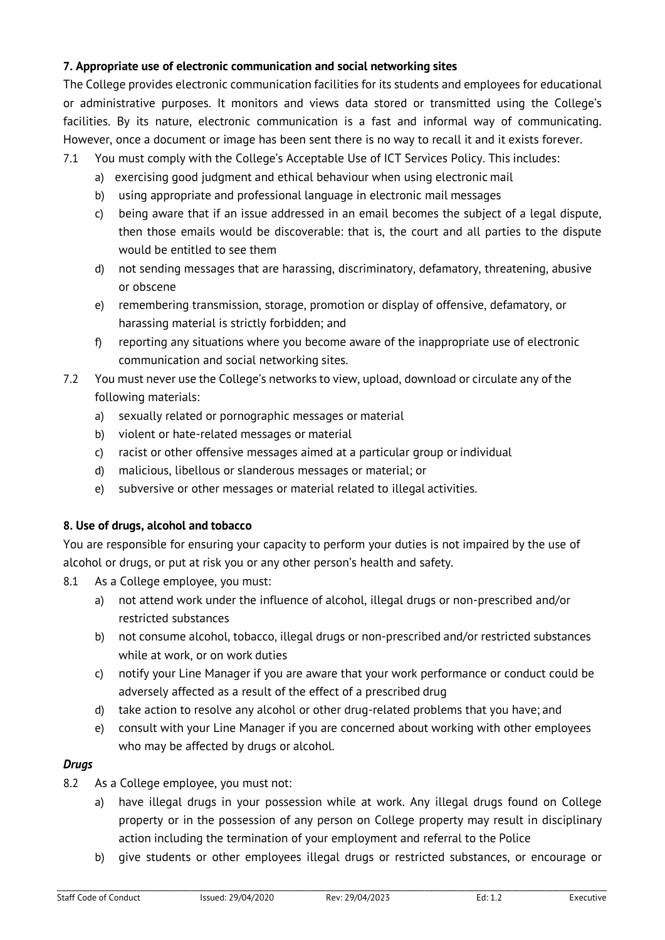# **7. Appropriate use of electronic communication and social networking sites**

The College provides electronic communication facilities for its students and employees for educational or administrative purposes. It monitors and views data stored or transmitted using the College's facilities. By its nature, electronic communication is a fast and informal way of communicating. However, once a document or image has been sent there is no way to recall it and it exists forever.

- 7.1 You must comply with the College's Acceptable Use of ICT Services Policy. This includes:
	- a) exercising good judgment and ethical behaviour when using electronic mail
	- b) using appropriate and professional language in electronic mail messages
	- c) being aware that if an issue addressed in an email becomes the subject of a legal dispute, then those emails would be discoverable: that is, the court and all parties to the dispute would be entitled to see them
	- d) not sending messages that are harassing, discriminatory, defamatory, threatening, abusive or obscene
	- e) remembering transmission, storage, promotion or display of offensive, defamatory, or harassing material is strictly forbidden; and
	- f) reporting any situations where you become aware of the inappropriate use of electronic communication and social networking sites.
- 7.2 You must never use the College's networks to view, upload, download or circulate any of the following materials:
	- a) sexually related or pornographic messages or material
	- b) violent or hate-related messages or material
	- c) racist or other offensive messages aimed at a particular group or individual
	- d) malicious, libellous or slanderous messages or material; or
	- e) subversive or other messages or material related to illegal activities.

# **8. Use of drugs, alcohol and tobacco**

You are responsible for ensuring your capacity to perform your duties is not impaired by the use of alcohol or drugs, or put at risk you or any other person's health and safety.

- 8.1 As a College employee, you must:
	- a) not attend work under the influence of alcohol, illegal drugs or non-prescribed and/or restricted substances
	- b) not consume alcohol, tobacco, illegal drugs or non-prescribed and/or restricted substances while at work, or on work duties
	- c) notify your Line Manager if you are aware that your work performance or conduct could be adversely affected as a result of the effect of a prescribed drug
	- d) take action to resolve any alcohol or other drug-related problems that you have; and
	- e) consult with your Line Manager if you are concerned about working with other employees who may be affected by drugs or alcohol.

# *Drugs*

- 8.2 As a College employee, you must not:
	- a) have illegal drugs in your possession while at work. Any illegal drugs found on College property or in the possession of any person on College property may result in disciplinary action including the termination of your employment and referral to the Police
	- b) give students or other employees illegal drugs or restricted substances, or encourage or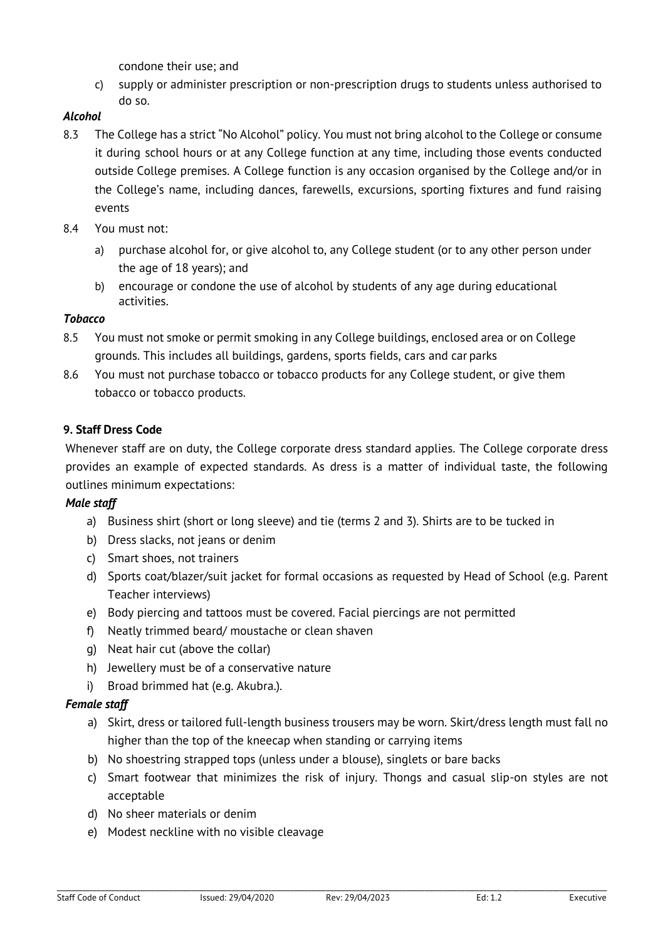condone their use; and

c) supply or administer prescription or non-prescription drugs to students unless authorised to do so.

# *Alcohol*

- 8.3 The College has a strict "No Alcohol" policy. You must not bring alcohol to the College or consume it during school hours or at any College function at any time, including those events conducted outside College premises. A College function is any occasion organised by the College and/or in the College's name, including dances, farewells, excursions, sporting fixtures and fund raising events
- 8.4 You must not:
	- a) purchase alcohol for, or give alcohol to, any College student (or to any other person under the age of 18 years); and
	- b) encourage or condone the use of alcohol by students of any age during educational activities.

## *Tobacco*

- 8.5 You must not smoke or permit smoking in any College buildings, enclosed area or on College grounds. This includes all buildings, gardens, sports fields, cars and car parks
- 8.6 You must not purchase tobacco or tobacco products for any College student, or give them tobacco or tobacco products.

# **9. Staff Dress Code**

Whenever staff are on duty, the College corporate dress standard applies. The College corporate dress provides an example of expected standards. As dress is a matter of individual taste, the following outlines minimum expectations:

## *Male staff*

- a) Business shirt (short or long sleeve) and tie (terms 2 and 3). Shirts are to be tucked in
- b) Dress slacks, not jeans or denim
- c) Smart shoes, not trainers
- d) Sports coat/blazer/suit jacket for formal occasions as requested by Head of School (e.g. Parent Teacher interviews)
- e) Body piercing and tattoos must be covered. Facial piercings are not permitted
- f) Neatly trimmed beard/ moustache or clean shaven
- g) Neat hair cut (above the collar)
- h) Jewellery must be of a conservative nature
- i) Broad brimmed hat (e.g. Akubra.).

## *Female staff*

- a) Skirt, dress or tailored full-length business trousers may be worn. Skirt/dress length must fall no higher than the top of the kneecap when standing or carrying items
- b) No shoestring strapped tops (unless under a blouse), singlets or bare backs
- c) Smart footwear that minimizes the risk of injury. Thongs and casual slip-on styles are not acceptable
- d) No sheer materials or denim
- e) Modest neckline with no visible cleavage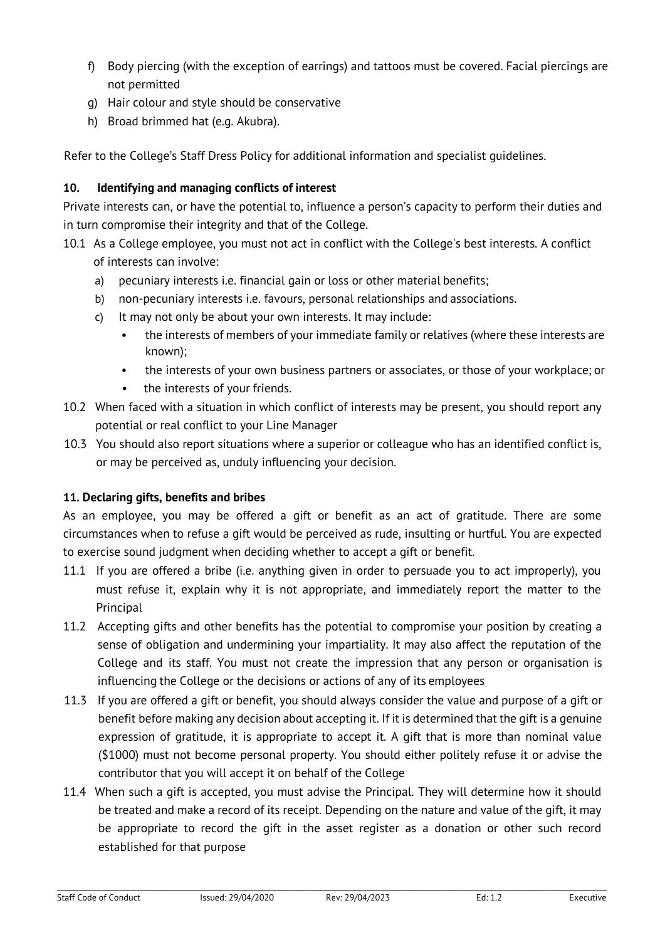- f) Body piercing (with the exception of earrings) and tattoos must be covered. Facial piercings are not permitted
- g) Hair colour and style should be conservative
- h) Broad brimmed hat (e.g. Akubra).

Refer to the College's Staff Dress Policy for additional information and specialist guidelines.

# **10. Identifying and managing conflicts of interest**

Private interests can, or have the potential to, influence a person's capacity to perform their duties and in turn compromise their integrity and that of the College.

- 10.1 As a College employee, you must not act in conflict with the College's best interests. A conflict of interests can involve:
	- a) pecuniary interests i.e. financial gain or loss or other material benefits;
	- b) non-pecuniary interests i.e. favours, personal relationships and associations.
	- c) It may not only be about your own interests. It may include:
		- the interests of members of your immediate family or relatives (where these interests are known);
		- the interests of your own business partners or associates, or those of your workplace; or
		- the interests of your friends.
- 10.2 When faced with a situation in which conflict of interests may be present, you should report any potential or real conflict to your Line Manager
- 10.3 You should also report situations where a superior or colleague who has an identified conflict is, or may be perceived as, unduly influencing your decision.

# **11. Declaring gifts, benefits and bribes**

As an employee, you may be offered a gift or benefit as an act of gratitude. There are some circumstances when to refuse a gift would be perceived as rude, insulting or hurtful. You are expected to exercise sound judgment when deciding whether to accept a gift or benefit.

- 11.1 If you are offered a bribe (i.e. anything given in order to persuade you to act improperly), you must refuse it, explain why it is not appropriate, and immediately report the matter to the Principal
- 11.2 Accepting gifts and other benefits has the potential to compromise your position by creating a sense of obligation and undermining your impartiality. It may also affect the reputation of the College and its staff. You must not create the impression that any person or organisation is influencing the College or the decisions or actions of any of its employees
- 11.3 If you are offered a gift or benefit, you should always consider the value and purpose of a gift or benefit before making any decision about accepting it. If it is determined that the gift is a genuine expression of gratitude, it is appropriate to accept it. A gift that is more than nominal value (\$1000) must not become personal property. You should either politely refuse it or advise the contributor that you will accept it on behalf of the College
- 11.4 When such a gift is accepted, you must advise the Principal. They will determine how it should be treated and make a record of its receipt. Depending on the nature and value of the gift, it may be appropriate to record the gift in the asset register as a donation or other such record established for that purpose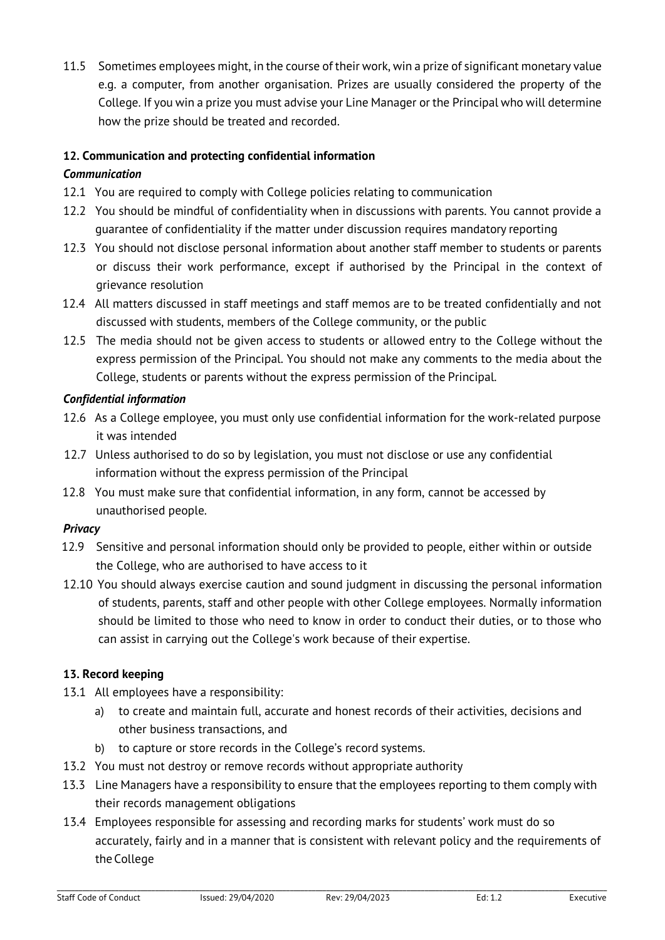11.5 Sometimes employees might, in the course of their work, win a prize of significant monetary value e.g. a computer, from another organisation. Prizes are usually considered the property of the College. If you win a prize you must advise your Line Manager or the Principal who will determine how the prize should be treated and recorded.

# **12. Communication and protecting confidential information**

# *Communication*

- 12.1 You are required to comply with College policies relating to communication
- 12.2 You should be mindful of confidentiality when in discussions with parents. You cannot provide a guarantee of confidentiality if the matter under discussion requires mandatory reporting
- 12.3 You should not disclose personal information about another staff member to students or parents or discuss their work performance, except if authorised by the Principal in the context of grievance resolution
- 12.4 All matters discussed in staff meetings and staff memos are to be treated confidentially and not discussed with students, members of the College community, or the public
- 12.5 The media should not be given access to students or allowed entry to the College without the express permission of the Principal. You should not make any comments to the media about the College, students or parents without the express permission of the Principal.

# *Confidential information*

- 12.6 As a College employee, you must only use confidential information for the work-related purpose it was intended
- 12.7 Unless authorised to do so by legislation, you must not disclose or use any confidential information without the express permission of the Principal
- 12.8 You must make sure that confidential information, in any form, cannot be accessed by unauthorised people.

## *Privacy*

- 12.9 Sensitive and personal information should only be provided to people, either within or outside the College, who are authorised to have access to it
- 12.10 You should always exercise caution and sound judgment in discussing the personal information of students, parents, staff and other people with other College employees. Normally information should be limited to those who need to know in order to conduct their duties, or to those who can assist in carrying out the College's work because of their expertise.

## **13. Record keeping**

- 13.1 All employees have a responsibility:
	- a) to create and maintain full, accurate and honest records of their activities, decisions and other business transactions, and
	- b) to capture or store records in the College's record systems.
- 13.2 You must not destroy or remove records without appropriate authority
- 13.3 Line Managers have a responsibility to ensure that the employees reporting to them comply with their records management obligations
- 13.4 Employees responsible for assessing and recording marks for students' work must do so accurately, fairly and in a manner that is consistent with relevant policy and the requirements of the College